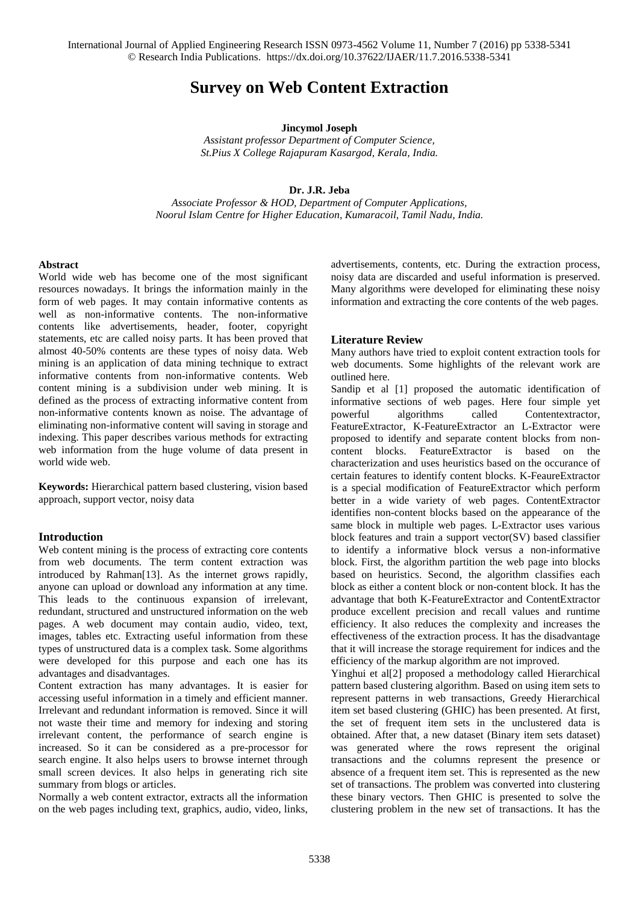# **Survey on Web Content Extraction**

### **Jincymol Joseph**

*Assistant professor Department of Computer Science, St.Pius X College Rajapuram Kasargod, Kerala, India.* 

### **Dr. J.R. Jeba**

*Associate Professor & HOD, Department of Computer Applications, Noorul Islam Centre for Higher Education, Kumaracoil, Tamil Nadu, India.* 

#### **Abstract**

World wide web has become one of the most significant resources nowadays. It brings the information mainly in the form of web pages. It may contain informative contents as well as non-informative contents. The non-informative contents like advertisements, header, footer, copyright statements, etc are called noisy parts. It has been proved that almost 40-50% contents are these types of noisy data. Web mining is an application of data mining technique to extract informative contents from non-informative contents. Web content mining is a subdivision under web mining. It is defined as the process of extracting informative content from non-informative contents known as noise. The advantage of eliminating non-informative content will saving in storage and indexing. This paper describes various methods for extracting web information from the huge volume of data present in world wide web.

**Keywords:** Hierarchical pattern based clustering, vision based approach, support vector, noisy data

#### **Introduction**

Web content mining is the process of extracting core contents from web documents. The term content extraction was introduced by Rahman[13]. As the internet grows rapidly, anyone can upload or download any information at any time. This leads to the continuous expansion of irrelevant, redundant, structured and unstructured information on the web pages. A web document may contain audio, video, text, images, tables etc. Extracting useful information from these types of unstructured data is a complex task. Some algorithms were developed for this purpose and each one has its advantages and disadvantages.

Content extraction has many advantages. It is easier for accessing useful information in a timely and efficient manner. Irrelevant and redundant information is removed. Since it will not waste their time and memory for indexing and storing irrelevant content, the performance of search engine is increased. So it can be considered as a pre-processor for search engine. It also helps users to browse internet through small screen devices. It also helps in generating rich site summary from blogs or articles.

Normally a web content extractor, extracts all the information on the web pages including text, graphics, audio, video, links,

advertisements, contents, etc. During the extraction process, noisy data are discarded and useful information is preserved. Many algorithms were developed for eliminating these noisy information and extracting the core contents of the web pages.

#### **Literature Review**

Many authors have tried to exploit content extraction tools for web documents. Some highlights of the relevant work are outlined here.

Sandip et al [1] proposed the automatic identification of informative sections of web pages. Here four simple yet powerful algorithms called Contentextractor, FeatureExtractor, K-FeatureExtractor an L-Extractor were proposed to identify and separate content blocks from noncontent blocks. FeatureExtractor is based on the characterization and uses heuristics based on the occurance of certain features to identify content blocks. K-FeaureExtractor is a special modification of FeatureExtractor which perform better in a wide variety of web pages. ContentExtractor identifies non-content blocks based on the appearance of the same block in multiple web pages. L-Extractor uses various block features and train a support vector(SV) based classifier to identify a informative block versus a non-informative block. First, the algorithm partition the web page into blocks based on heuristics. Second, the algorithm classifies each block as either a content block or non-content block. It has the advantage that both K-FeatureExtractor and ContentExtractor produce excellent precision and recall values and runtime efficiency. It also reduces the complexity and increases the effectiveness of the extraction process. It has the disadvantage that it will increase the storage requirement for indices and the efficiency of the markup algorithm are not improved.

Yinghui et al[2] proposed a methodology called Hierarchical pattern based clustering algorithm. Based on using item sets to represent patterns in web transactions, Greedy Hierarchical item set based clustering (GHIC) has been presented. At first, the set of frequent item sets in the unclustered data is obtained. After that, a new dataset (Binary item sets dataset) was generated where the rows represent the original transactions and the columns represent the presence or absence of a frequent item set. This is represented as the new set of transactions. The problem was converted into clustering these binary vectors. Then GHIC is presented to solve the clustering problem in the new set of transactions. It has the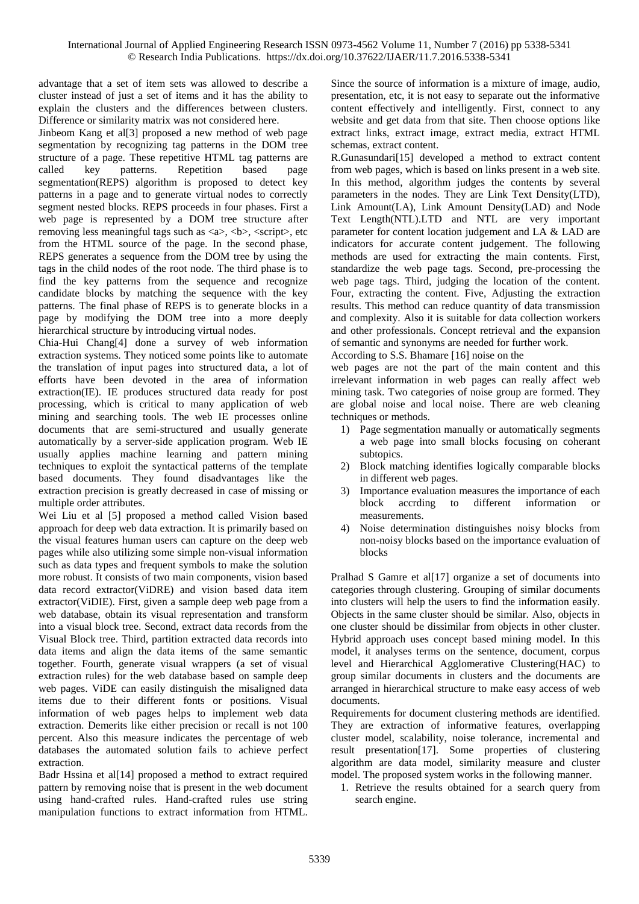advantage that a set of item sets was allowed to describe a cluster instead of just a set of items and it has the ability to explain the clusters and the differences between clusters. Difference or similarity matrix was not considered here.

Jinbeom Kang et al[3] proposed a new method of web page segmentation by recognizing tag patterns in the DOM tree structure of a page. These repetitive HTML tag patterns are called key patterns. Repetition based page segmentation(REPS) algorithm is proposed to detect key patterns in a page and to generate virtual nodes to correctly segment nested blocks. REPS proceeds in four phases. First a web page is represented by a DOM tree structure after removing less meaningful tags such as  $\langle a \rangle$ ,  $\langle b \rangle$ ,  $\langle s \rangle$ ,  $\langle t \rangle$ , etc from the HTML source of the page. In the second phase, REPS generates a sequence from the DOM tree by using the tags in the child nodes of the root node. The third phase is to find the key patterns from the sequence and recognize candidate blocks by matching the sequence with the key patterns. The final phase of REPS is to generate blocks in a page by modifying the DOM tree into a more deeply hierarchical structure by introducing virtual nodes.

Chia-Hui Chang[4] done a survey of web information extraction systems. They noticed some points like to automate the translation of input pages into structured data, a lot of efforts have been devoted in the area of information extraction(IE). IE produces structured data ready for post processing, which is critical to many application of web mining and searching tools. The web IE processes online documents that are semi-structured and usually generate automatically by a server-side application program. Web IE usually applies machine learning and pattern mining techniques to exploit the syntactical patterns of the template based documents. They found disadvantages like the extraction precision is greatly decreased in case of missing or multiple order attributes.

Wei Liu et al [5] proposed a method called Vision based approach for deep web data extraction. It is primarily based on the visual features human users can capture on the deep web pages while also utilizing some simple non-visual information such as data types and frequent symbols to make the solution more robust. It consists of two main components, vision based data record extractor(ViDRE) and vision based data item extractor(ViDIE). First, given a sample deep web page from a web database, obtain its visual representation and transform into a visual block tree. Second, extract data records from the Visual Block tree. Third, partition extracted data records into data items and align the data items of the same semantic together. Fourth, generate visual wrappers (a set of visual extraction rules) for the web database based on sample deep web pages. ViDE can easily distinguish the misaligned data items due to their different fonts or positions. Visual information of web pages helps to implement web data extraction. Demerits like either precision or recall is not 100 percent. Also this measure indicates the percentage of web databases the automated solution fails to achieve perfect extraction.

Badr Hssina et al[14] proposed a method to extract required pattern by removing noise that is present in the web document using hand-crafted rules. Hand-crafted rules use string manipulation functions to extract information from HTML.

Since the source of information is a mixture of image, audio, presentation, etc, it is not easy to separate out the informative content effectively and intelligently. First, connect to any website and get data from that site. Then choose options like extract links, extract image, extract media, extract HTML schemas, extract content.

R.Gunasundari[15] developed a method to extract content from web pages, which is based on links present in a web site. In this method, algorithm judges the contents by several parameters in the nodes. They are Link Text Density(LTD), Link Amount(LA), Link Amount Density(LAD) and Node Text Length(NTL).LTD and NTL are very important parameter for content location judgement and LA & LAD are indicators for accurate content judgement. The following methods are used for extracting the main contents. First, standardize the web page tags. Second, pre-processing the web page tags. Third, judging the location of the content. Four, extracting the content. Five, Adjusting the extraction results. This method can reduce quantity of data transmission and complexity. Also it is suitable for data collection workers and other professionals. Concept retrieval and the expansion of semantic and synonyms are needed for further work.

According to S.S. Bhamare [16] noise on the

web pages are not the part of the main content and this irrelevant information in web pages can really affect web mining task. Two categories of noise group are formed. They are global noise and local noise. There are web cleaning techniques or methods.

- 1) Page segmentation manually or automatically segments a web page into small blocks focusing on coherant subtopics.
- 2) Block matching identifies logically comparable blocks in different web pages.
- 3) Importance evaluation measures the importance of each block accrding to different information or measurements.
- 4) Noise determination distinguishes noisy blocks from non-noisy blocks based on the importance evaluation of blocks

Pralhad S Gamre et al[17] organize a set of documents into categories through clustering. Grouping of similar documents into clusters will help the users to find the information easily. Objects in the same cluster should be similar. Also, objects in one cluster should be dissimilar from objects in other cluster. Hybrid approach uses concept based mining model. In this model, it analyses terms on the sentence, document, corpus level and Hierarchical Agglomerative Clustering(HAC) to group similar documents in clusters and the documents are arranged in hierarchical structure to make easy access of web documents.

Requirements for document clustering methods are identified. They are extraction of informative features, overlapping cluster model, scalability, noise tolerance, incremental and result presentation[17]. Some properties of clustering algorithm are data model, similarity measure and cluster model. The proposed system works in the following manner.

1. Retrieve the results obtained for a search query from search engine.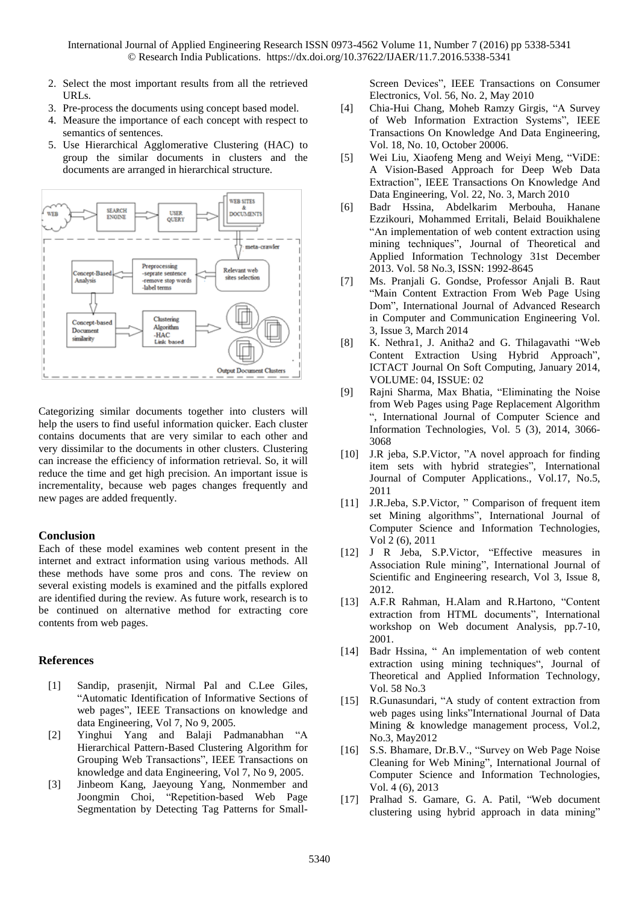- 2. Select the most important results from all the retrieved URLs.
- 3. Pre-process the documents using concept based model.
- 4. Measure the importance of each concept with respect to semantics of sentences.
- 5. Use Hierarchical Agglomerative Clustering (HAC) to group the similar documents in clusters and the documents are arranged in hierarchical structure.



Categorizing similar documents together into clusters will help the users to find useful information quicker. Each cluster contains documents that are very similar to each other and very dissimilar to the documents in other clusters. Clustering can increase the efficiency of information retrieval. So, it will reduce the time and get high precision. An important issue is incrementality, because web pages changes frequently and new pages are added frequently.

## **Conclusion**

Each of these model examines web content present in the internet and extract information using various methods. All these methods have some pros and cons. The review on several existing models is examined and the pitfalls explored are identified during the review. As future work, research is to be continued on alternative method for extracting core contents from web pages.

## **References**

- [1] Sandip, prasenjit, Nirmal Pal and C.Lee Giles, "Automatic Identification of Informative Sections of web pages", IEEE Transactions on knowledge and data Engineering, Vol 7, No 9, 2005.
- [2] Yinghui Yang and Balaji Padmanabhan "A Hierarchical Pattern-Based Clustering Algorithm for Grouping Web Transactions", IEEE Transactions on knowledge and data Engineering, Vol 7, No 9, 2005.
- [3] Jinbeom Kang, Jaeyoung Yang, Nonmember and Joongmin Choi, "Repetition-based Web Page Segmentation by Detecting Tag Patterns for Small-

Screen Devices", IEEE Transactions on Consumer Electronics, Vol. 56, No. 2, May 2010

- [4] Chia-Hui Chang, Moheb Ramzy Girgis, "A Survey of Web Information Extraction Systems", IEEE Transactions On Knowledge And Data Engineering, Vol. 18, No. 10, October 20006.
- [5] Wei Liu, Xiaofeng Meng and Weiyi Meng, "ViDE: A Vision-Based Approach for Deep Web Data Extraction", IEEE Transactions On Knowledge And Data Engineering, Vol. 22, No. 3, March 2010
- [6] Badr Hssina, Abdelkarim Merbouha, Hanane Ezzikouri, Mohammed Erritali, Belaid Bouikhalene "An implementation of web content extraction using mining techniques", Journal of Theoretical and Applied Information Technology 31st December 2013. Vol. 58 No.3, ISSN: 1992-8645
- [7] Ms. Pranjali G. Gondse, Professor Anjali B. Raut "Main Content Extraction From Web Page Using Dom", International Journal of Advanced Research in Computer and Communication Engineering Vol. 3, Issue 3, March 2014
- [8] K. Nethra1, J. Anitha2 and G. Thilagavathi "Web Content Extraction Using Hybrid Approach", ICTACT Journal On Soft Computing, January 2014, VOLUME: 04, ISSUE: 02
- [9] Rajni Sharma, Max Bhatia, "Eliminating the Noise from Web Pages using Page Replacement Algorithm ", International Journal of Computer Science and Information Technologies, Vol. 5 (3), 2014, 3066- 3068
- [10] J.R jeba, S.P. Victor, "A novel approach for finding item sets with hybrid strategies", International Journal of Computer Applications., Vol.17, No.5, 2011
- [11] J.R.Jeba, S.P.Victor, " Comparison of frequent item set Mining algorithms", International Journal of Computer Science and Information Technologies, Vol 2 (6), 2011
- [12] J R Jeba, S.P.Victor, "Effective measures in Association Rule mining", International Journal of Scientific and Engineering research, Vol 3, Issue 8, 2012.
- [13] A.F.R Rahman, H.Alam and R.Hartono, "Content extraction from HTML documents", International workshop on Web document Analysis, pp.7-10, 2001.
- [14] Badr Hssina, " An implementation of web content extraction using mining techniques", Journal of Theoretical and Applied Information Technology, Vol. 58 No.3
- [15] R.Gunasundari, "A study of content extraction from web pages using links"International Journal of Data Mining & knowledge management process, Vol.2, No.3, May2012
- [16] S.S. Bhamare, Dr.B.V., "Survey on Web Page Noise Cleaning for Web Mining", International Journal of Computer Science and Information Technologies, Vol. 4 (6), 2013
- [17] Pralhad S. Gamare, G. A. Patil, "Web document clustering using hybrid approach in data mining"